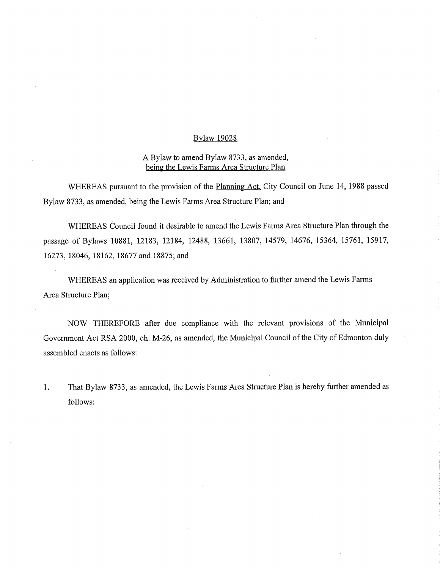## Bylaw 19028

## A Bylaw to amend Bylaw 8733, as amended, being the Lewis Farms Area Structure Plan

WHEREAS pursuant to the provision of the Planning Act, City Council on June 14, 1988 passed Bylaw 8733, as amended, being the Lewis Farms Area Structure Plan; and

WHEREAS Council found it desirable to amend the Lewis Farms Area Structure Plan through the passage of Bylaws 10881, 12183, 12184, 12488, 13661, 13807, 14579, 14676, 15364, 15761, 15917, 16273, 18046, 18162, 18677 and 18875; and

WHEREAS an application was received by Administration to further amend the Lewis Farms Area Structure Plan;

NOW THEREFORE after due compliance with the relevant provisions of the Municipal Government Act RSA 2000, ch. M-26, as amended, the Municipal Council of the City of Edmonton duly assembled enacts as follows:

1. That Bylaw 8733, as amended, the Lewis Farms Area Structure Plan is hereby further amended as follows: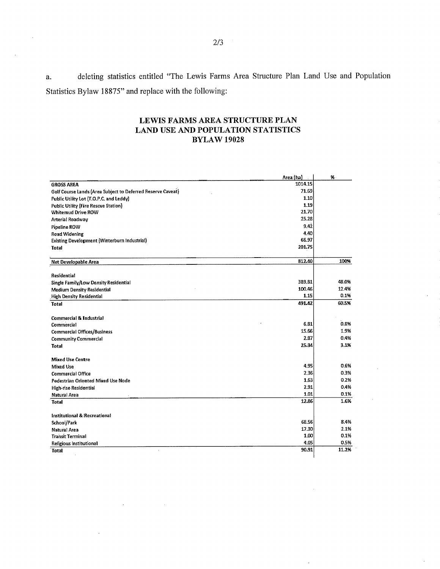a. deleting statistics entitled "The Lewis Farms Area Structure Plan Land Use and Population Statistics Bylaw 18875" and replace with the following:

## LEWIS FARMS AREA STRUCTURE PLAN LAND USE AND POPULATION STATISTICS BYLAW 19028

|                                                             | Area (ha) | %.    |
|-------------------------------------------------------------|-----------|-------|
| <b>GROSS AREA</b>                                           | 1014.15   |       |
| Golf Course Lands (Area Subject to Deferred Reserve Caveat) | 71.69     |       |
| Public Utility Lot (T.O.P.C. and Leddy)                     | 1.10      |       |
| <b>Public Utility (Fire Rescue Station)</b>                 | 1.19      |       |
| <b>Whitemud Drive ROW</b>                                   | 21.70     |       |
| Arterial Roadway                                            | 25.28     |       |
| Pipeline ROW                                                | 9.42      |       |
| <b>Road Widening</b>                                        | 4.40      |       |
| Existing Development (Winterburn Industrial)                | 66.97     |       |
| <b>Total</b>                                                | 201.75    |       |
| Net Developable Area                                        | 812.40    | 100%  |
|                                                             |           |       |
| Residential                                                 |           |       |
| Single Family/Low Density Residential                       | 389.81    | 48.0% |
| Medium Density Residential                                  | 100.46    | 12.4% |
| <b>High Density Residential</b>                             | 1.15      | 0.1%  |
| <b>Total</b>                                                | 491.42    | 60.5% |
| Commercial & Industrial                                     |           |       |
| <b>Commercial</b>                                           | 6.31      | 0.8%  |
| Commercial Offices/Business                                 | 15.66     | 1.9%  |
| <b>Community Commercial</b>                                 | 2.87      | 0.4%  |
| Total                                                       | 25.34     | 3.1%  |
| <b>Mixed Use Centre</b>                                     |           |       |
| Mixed Use                                                   | 4.95      | 0.6%  |
| Commercial Office                                           | 2.36      | 0.3%  |
| Pedestrian Oriented Mixed Use Node                          | 1.63      | 0.2%  |
| High-rise Residential                                       | 2.91      | 0.4%  |
| Natural Area                                                | 1.01      | 0.1%  |
| Total                                                       | 12.86     | 1.6%  |
| Institutional & Recreational                                |           |       |
| School/Park                                                 | 68.56     | 8.4%  |
| Natural Area                                                | 17.30     | 2.1%  |
| <b>Transit Terminal</b>                                     | 1.00      | 0.1%  |
| Religious Institutional                                     | 4.05      | 0.5%  |
| Total                                                       | 90.91     | 11.2% |
|                                                             |           |       |

 $\overline{\phantom{a}}$ 

 $\sim$ 

 $\overline{\phantom{a}}$ 

 $\ddot{\phantom{a}}$ 

 $\mathcal{L}$ 

 $\overline{a}$